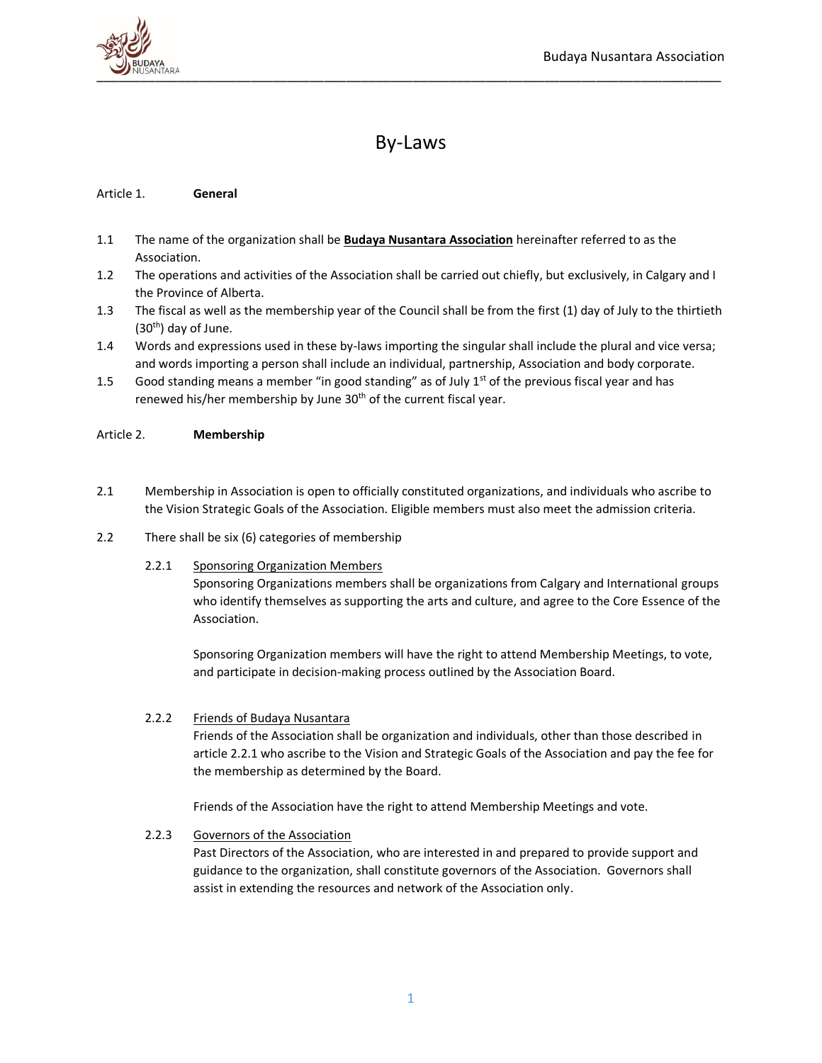

# By-Laws

# Article 1. **General**

- 1.1 The name of the organization shall be **Budaya Nusantara Association** hereinafter referred to as the Association.
- 1.2 The operations and activities of the Association shall be carried out chiefly, but exclusively, in Calgary and I the Province of Alberta.
- 1.3 The fiscal as well as the membership year of the Council shall be from the first (1) day of July to the thirtieth  $(30<sup>th</sup>)$  day of June.
- 1.4 Words and expressions used in these by-laws importing the singular shall include the plural and vice versa; and words importing a person shall include an individual, partnership, Association and body corporate.
- 1.5 Good standing means a member "in good standing" as of July  $1<sup>st</sup>$  of the previous fiscal year and has renewed his/her membership by June 30<sup>th</sup> of the current fiscal year.

### Article 2. **Membership**

- 2.1 Membership in Association is open to officially constituted organizations, and individuals who ascribe to the Vision Strategic Goals of the Association. Eligible members must also meet the admission criteria.
- 2.2 There shall be six (6) categories of membership
	- 2.2.1 Sponsoring Organization Members

Sponsoring Organizations members shall be organizations from Calgary and International groups who identify themselves as supporting the arts and culture, and agree to the Core Essence of the Association.

Sponsoring Organization members will have the right to attend Membership Meetings, to vote, and participate in decision-making process outlined by the Association Board.

### 2.2.2 Friends of Budaya Nusantara

Friends of the Association shall be organization and individuals, other than those described in article 2.2.1 who ascribe to the Vision and Strategic Goals of the Association and pay the fee for the membership as determined by the Board.

Friends of the Association have the right to attend Membership Meetings and vote.

# 2.2.3 Governors of the Association

Past Directors of the Association, who are interested in and prepared to provide support and guidance to the organization, shall constitute governors of the Association. Governors shall assist in extending the resources and network of the Association only.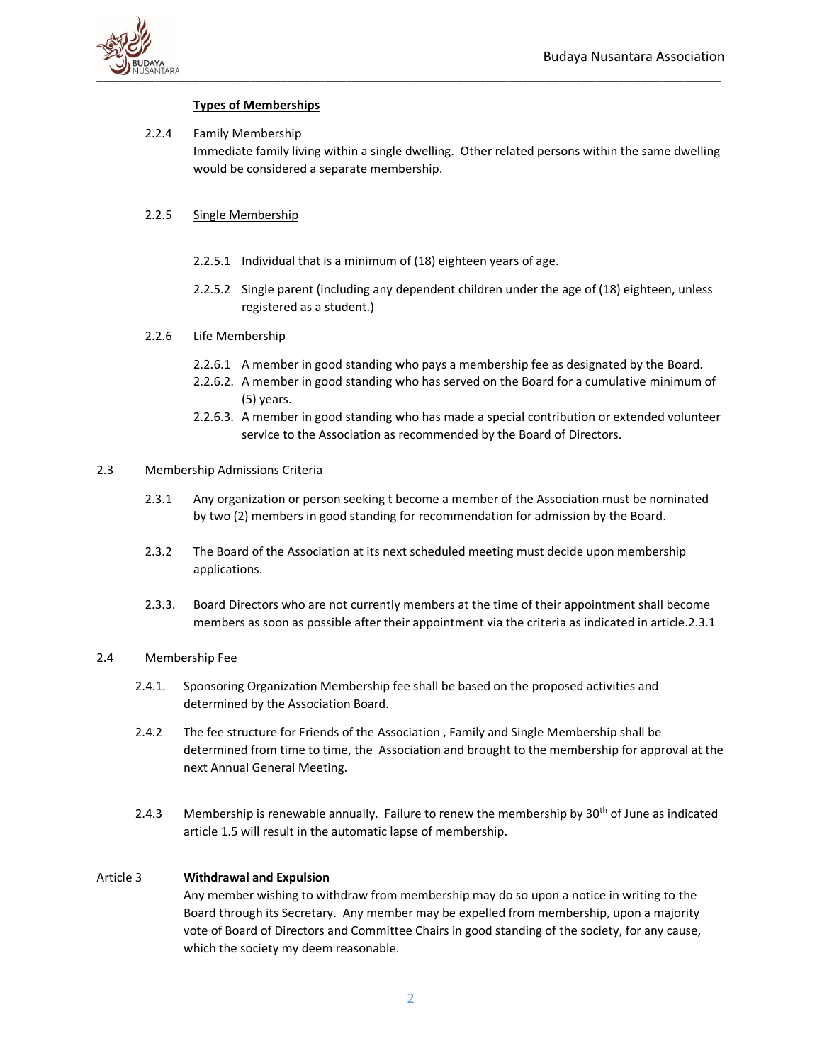

# **Types of Memberships**

# 2.2.4 Family Membership

Immediate family living within a single dwelling. Other related persons within the same dwelling would be considered a separate membership.

# 2.2.5 Single Membership

- 2.2.5.1 Individual that is a minimum of (18) eighteen years of age.
- 2.2.5.2 Single parent (including any dependent children under the age of (18) eighteen, unless registered as a student.)

# 2.2.6 Life Membership

- 2.2.6.1 A member in good standing who pays a membership fee as designated by the Board.
- 2.2.6.2. A member in good standing who has served on the Board for a cumulative minimum of (5) years.
- 2.2.6.3. A member in good standing who has made a special contribution or extended volunteer service to the Association as recommended by the Board of Directors.

# 2.3 Membership Admissions Criteria

- 2.3.1 Any organization or person seeking t become a member of the Association must be nominated by two (2) members in good standing for recommendation for admission by the Board.
- 2.3.2 The Board of the Association at its next scheduled meeting must decide upon membership applications.
- 2.3.3. Board Directors who are not currently members at the time of their appointment shall become members as soon as possible after their appointment via the criteria as indicated in article.2.3.1

# 2.4 Membership Fee

- 2.4.1. Sponsoring Organization Membership fee shall be based on the proposed activities and determined by the Association Board.
- 2.4.2 The fee structure for Friends of the Association , Family and Single Membership shall be determined from time to time, the Association and brought to the membership for approval at the next Annual General Meeting.
- 2.4.3 Membership is renewable annually. Failure to renew the membership by  $30<sup>th</sup>$  of June as indicated article 1.5 will result in the automatic lapse of membership.

# Article 3 **Withdrawal and Expulsion**

Any member wishing to withdraw from membership may do so upon a notice in writing to the Board through its Secretary. Any member may be expelled from membership, upon a majority vote of Board of Directors and Committee Chairs in good standing of the society, for any cause, which the society my deem reasonable.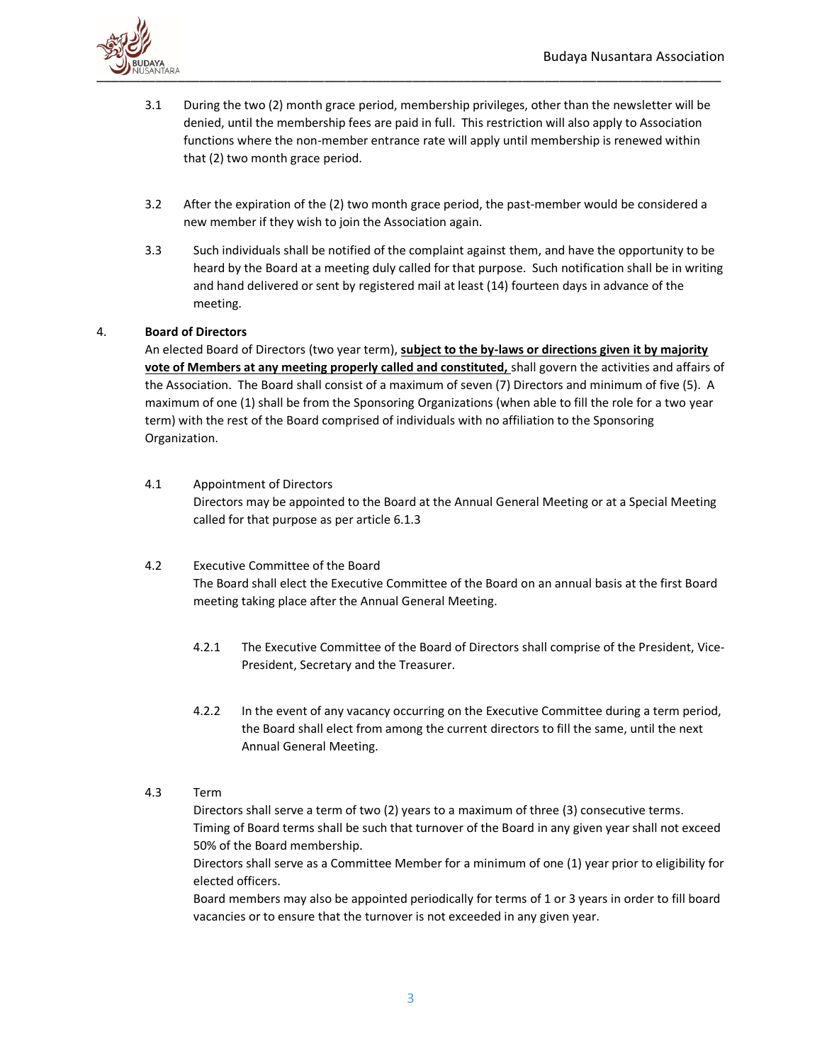

- 3.1 During the two (2) month grace period, membership privileges, other than the newsletter will be denied, until the membership fees are paid in full. This restriction will also apply to Association functions where the non-member entrance rate will apply until membership is renewed within that (2) two month grace period.
- 3.2 After the expiration of the (2) two month grace period, the past-member would be considered a new member if they wish to join the Association again.
- 3.3 Such individuals shall be notified of the complaint against them, and have the opportunity to be heard by the Board at a meeting duly called for that purpose. Such notification shall be in writing and hand delivered or sent by registered mail at least (14) fourteen days in advance of the meeting.

# 4. **Board of Directors**

An elected Board of Directors (two year term), **subject to the by-laws or directions given it by majority vote of Members at any meeting properly called and constituted,** shall govern the activities and affairs of the Association. The Board shall consist of a maximum of seven (7) Directors and minimum of five (5). A maximum of one (1) shall be from the Sponsoring Organizations (when able to fill the role for a two year term) with the rest of the Board comprised of individuals with no affiliation to the Sponsoring Organization.

- 4.1 Appointment of Directors Directors may be appointed to the Board at the Annual General Meeting or at a Special Meeting called for that purpose as per article 6.1.3
- 4.2 Executive Committee of the Board The Board shall elect the Executive Committee of the Board on an annual basis at the first Board meeting taking place after the Annual General Meeting.
	- 4.2.1 The Executive Committee of the Board of Directors shall comprise of the President, Vice-President, Secretary and the Treasurer.
	- 4.2.2 In the event of any vacancy occurring on the Executive Committee during a term period, the Board shall elect from among the current directors to fill the same, until the next Annual General Meeting.
- 4.3 Term

Directors shall serve a term of two (2) years to a maximum of three (3) consecutive terms. Timing of Board terms shall be such that turnover of the Board in any given year shall not exceed 50% of the Board membership.

Directors shall serve as a Committee Member for a minimum of one (1) year prior to eligibility for elected officers.

Board members may also be appointed periodically for terms of 1 or 3 years in order to fill board vacancies or to ensure that the turnover is not exceeded in any given year.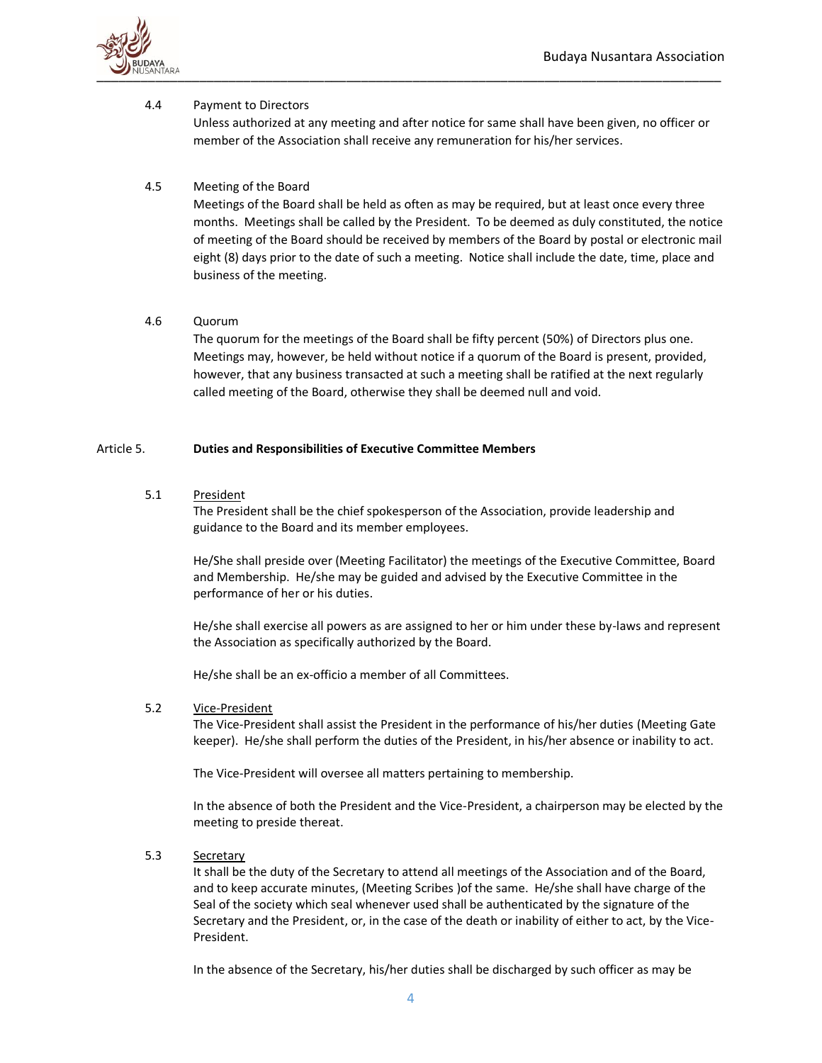

# 4.4 Payment to Directors

Unless authorized at any meeting and after notice for same shall have been given, no officer or member of the Association shall receive any remuneration for his/her services.

# 4.5 Meeting of the Board

Meetings of the Board shall be held as often as may be required, but at least once every three months. Meetings shall be called by the President. To be deemed as duly constituted, the notice of meeting of the Board should be received by members of the Board by postal or electronic mail eight (8) days prior to the date of such a meeting. Notice shall include the date, time, place and business of the meeting.

# 4.6 Quorum

The quorum for the meetings of the Board shall be fifty percent (50%) of Directors plus one. Meetings may, however, be held without notice if a quorum of the Board is present, provided, however, that any business transacted at such a meeting shall be ratified at the next regularly called meeting of the Board, otherwise they shall be deemed null and void.

### Article 5. **Duties and Responsibilities of Executive Committee Members**

# 5.1 President

The President shall be the chief spokesperson of the Association, provide leadership and guidance to the Board and its member employees.

He/She shall preside over (Meeting Facilitator) the meetings of the Executive Committee, Board and Membership. He/she may be guided and advised by the Executive Committee in the performance of her or his duties.

He/she shall exercise all powers as are assigned to her or him under these by-laws and represent the Association as specifically authorized by the Board.

He/she shall be an ex-officio a member of all Committees.

# 5.2 Vice-President

The Vice-President shall assist the President in the performance of his/her duties (Meeting Gate keeper). He/she shall perform the duties of the President, in his/her absence or inability to act.

The Vice-President will oversee all matters pertaining to membership.

In the absence of both the President and the Vice-President, a chairperson may be elected by the meeting to preside thereat.

5.3 Secretary

It shall be the duty of the Secretary to attend all meetings of the Association and of the Board, and to keep accurate minutes, (Meeting Scribes )of the same. He/she shall have charge of the Seal of the society which seal whenever used shall be authenticated by the signature of the Secretary and the President, or, in the case of the death or inability of either to act, by the Vice-President.

In the absence of the Secretary, his/her duties shall be discharged by such officer as may be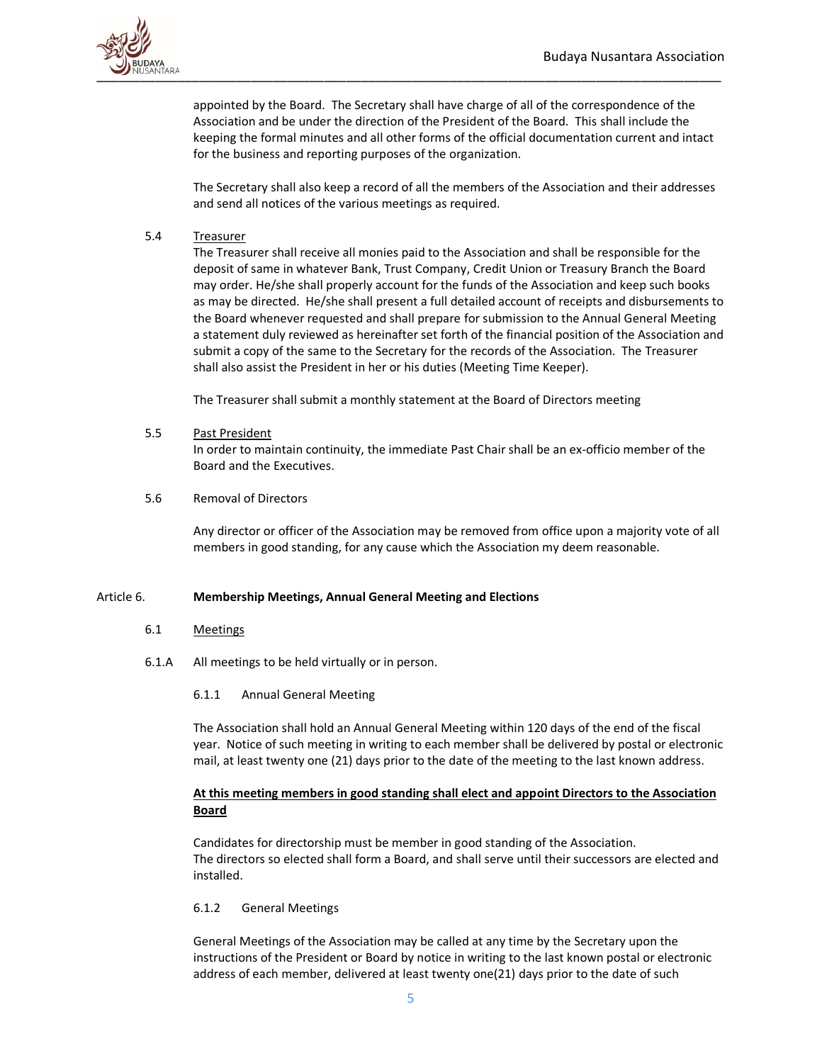

appointed by the Board. The Secretary shall have charge of all of the correspondence of the Association and be under the direction of the President of the Board. This shall include the keeping the formal minutes and all other forms of the official documentation current and intact for the business and reporting purposes of the organization.

The Secretary shall also keep a record of all the members of the Association and their addresses and send all notices of the various meetings as required.

# 5.4 Treasurer

The Treasurer shall receive all monies paid to the Association and shall be responsible for the deposit of same in whatever Bank, Trust Company, Credit Union or Treasury Branch the Board may order. He/she shall properly account for the funds of the Association and keep such books as may be directed. He/she shall present a full detailed account of receipts and disbursements to the Board whenever requested and shall prepare for submission to the Annual General Meeting a statement duly reviewed as hereinafter set forth of the financial position of the Association and submit a copy of the same to the Secretary for the records of the Association. The Treasurer shall also assist the President in her or his duties (Meeting Time Keeper).

The Treasurer shall submit a monthly statement at the Board of Directors meeting

#### 5.5 Past President

In order to maintain continuity, the immediate Past Chair shall be an ex-officio member of the Board and the Executives.

### 5.6 Removal of Directors

Any director or officer of the Association may be removed from office upon a majority vote of all members in good standing, for any cause which the Association my deem reasonable.

### Article 6. **Membership Meetings, Annual General Meeting and Elections**

### 6.1 Meetings

- 6.1.A All meetings to be held virtually or in person.
	- 6.1.1 Annual General Meeting

The Association shall hold an Annual General Meeting within 120 days of the end of the fiscal year. Notice of such meeting in writing to each member shall be delivered by postal or electronic mail, at least twenty one (21) days prior to the date of the meeting to the last known address.

# **At this meeting members in good standing shall elect and appoint Directors to the Association Board**

Candidates for directorship must be member in good standing of the Association. The directors so elected shall form a Board, and shall serve until their successors are elected and installed.

### 6.1.2 General Meetings

General Meetings of the Association may be called at any time by the Secretary upon the instructions of the President or Board by notice in writing to the last known postal or electronic address of each member, delivered at least twenty one(21) days prior to the date of such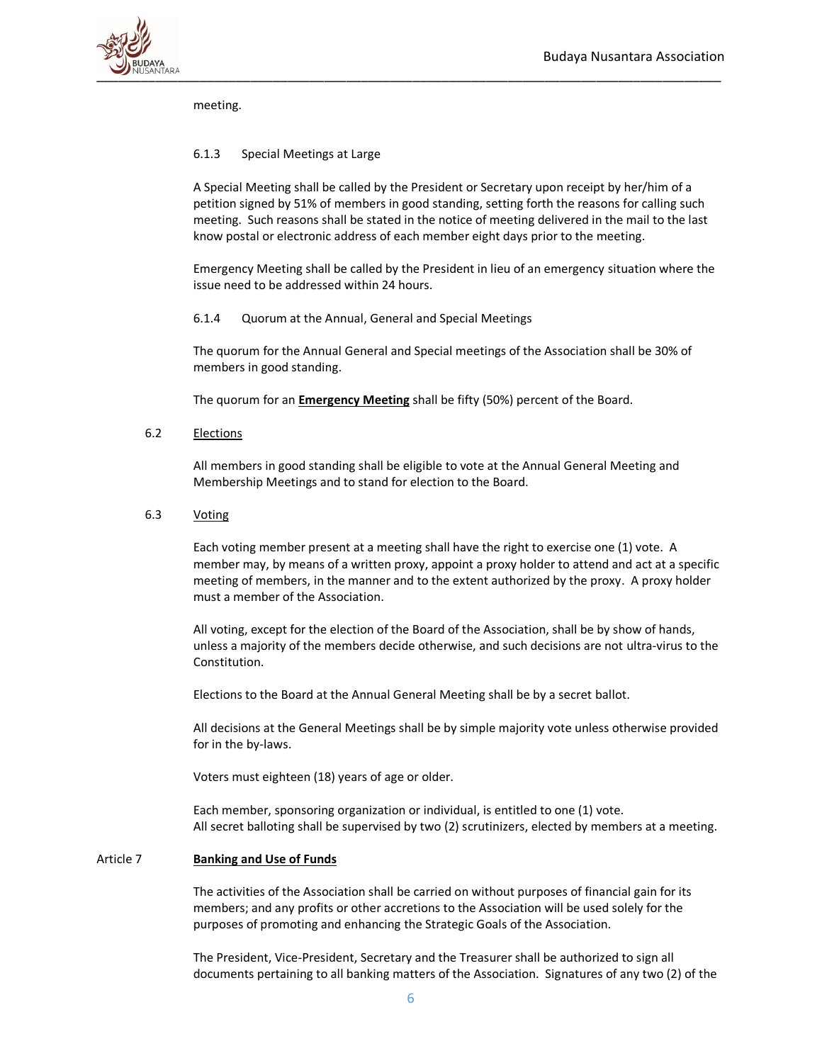

meeting.

# 6.1.3 Special Meetings at Large

A Special Meeting shall be called by the President or Secretary upon receipt by her/him of a petition signed by 51% of members in good standing, setting forth the reasons for calling such meeting. Such reasons shall be stated in the notice of meeting delivered in the mail to the last know postal or electronic address of each member eight days prior to the meeting.

Emergency Meeting shall be called by the President in lieu of an emergency situation where the issue need to be addressed within 24 hours.

6.1.4 Quorum at the Annual, General and Special Meetings

The quorum for the Annual General and Special meetings of the Association shall be 30% of members in good standing.

The quorum for an **Emergency Meeting** shall be fifty (50%) percent of the Board.

6.2 Elections

All members in good standing shall be eligible to vote at the Annual General Meeting and Membership Meetings and to stand for election to the Board.

6.3 Voting

Each voting member present at a meeting shall have the right to exercise one (1) vote. A member may, by means of a written proxy, appoint a proxy holder to attend and act at a specific meeting of members, in the manner and to the extent authorized by the proxy. A proxy holder must a member of the Association.

All voting, except for the election of the Board of the Association, shall be by show of hands, unless a majority of the members decide otherwise, and such decisions are not ultra-virus to the Constitution.

Elections to the Board at the Annual General Meeting shall be by a secret ballot.

All decisions at the General Meetings shall be by simple majority vote unless otherwise provided for in the by-laws.

Voters must eighteen (18) years of age or older.

Each member, sponsoring organization or individual, is entitled to one (1) vote. All secret balloting shall be supervised by two (2) scrutinizers, elected by members at a meeting.

# Article 7 **Banking and Use of Funds**

The activities of the Association shall be carried on without purposes of financial gain for its members; and any profits or other accretions to the Association will be used solely for the purposes of promoting and enhancing the Strategic Goals of the Association.

The President, Vice-President, Secretary and the Treasurer shall be authorized to sign all documents pertaining to all banking matters of the Association. Signatures of any two (2) of the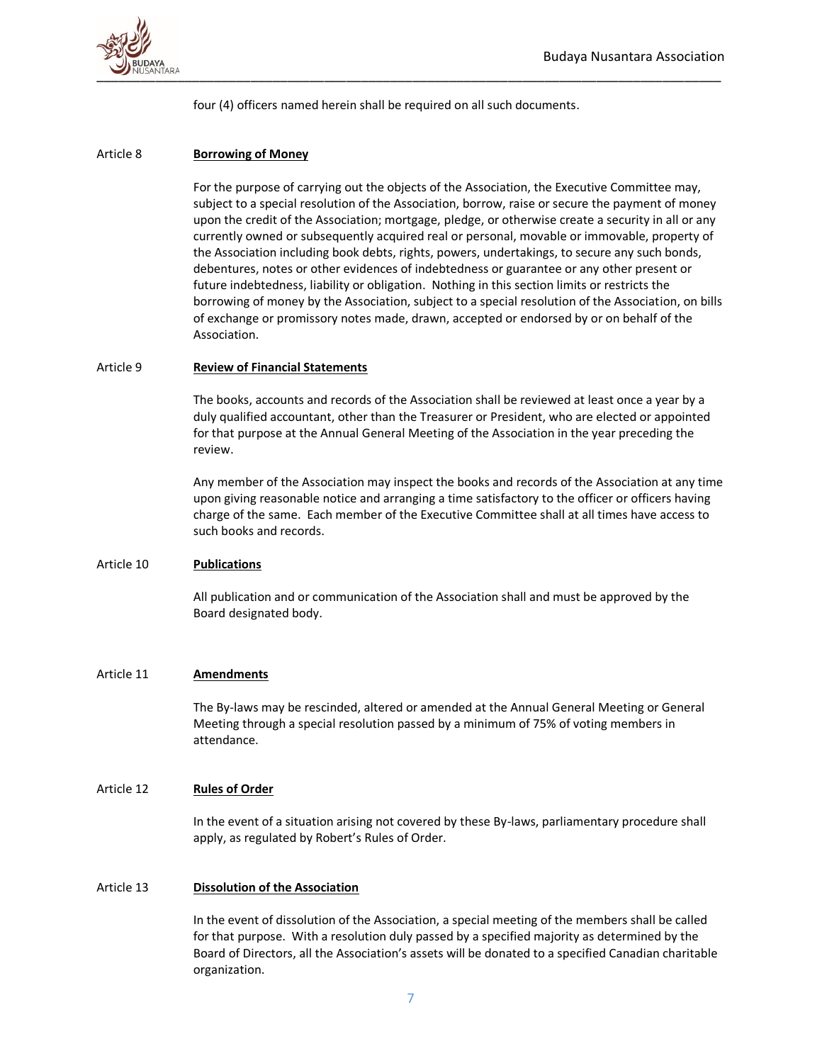

four (4) officers named herein shall be required on all such documents.

### Article 8 **Borrowing of Money**

For the purpose of carrying out the objects of the Association, the Executive Committee may, subject to a special resolution of the Association, borrow, raise or secure the payment of money upon the credit of the Association; mortgage, pledge, or otherwise create a security in all or any currently owned or subsequently acquired real or personal, movable or immovable, property of the Association including book debts, rights, powers, undertakings, to secure any such bonds, debentures, notes or other evidences of indebtedness or guarantee or any other present or future indebtedness, liability or obligation. Nothing in this section limits or restricts the borrowing of money by the Association, subject to a special resolution of the Association, on bills of exchange or promissory notes made, drawn, accepted or endorsed by or on behalf of the Association.

### Article 9 **Review of Financial Statements**

The books, accounts and records of the Association shall be reviewed at least once a year by a duly qualified accountant, other than the Treasurer or President, who are elected or appointed for that purpose at the Annual General Meeting of the Association in the year preceding the review.

Any member of the Association may inspect the books and records of the Association at any time upon giving reasonable notice and arranging a time satisfactory to the officer or officers having charge of the same. Each member of the Executive Committee shall at all times have access to such books and records.

### Article 10 **Publications**

All publication and or communication of the Association shall and must be approved by the Board designated body.

# Article 11 **Amendments**

The By-laws may be rescinded, altered or amended at the Annual General Meeting or General Meeting through a special resolution passed by a minimum of 75% of voting members in attendance.

### Article 12 **Rules of Order**

In the event of a situation arising not covered by these By-laws, parliamentary procedure shall apply, as regulated by Robert's Rules of Order.

### Article 13 **Dissolution of the Association**

In the event of dissolution of the Association, a special meeting of the members shall be called for that purpose. With a resolution duly passed by a specified majority as determined by the Board of Directors, all the Association's assets will be donated to a specified Canadian charitable organization.